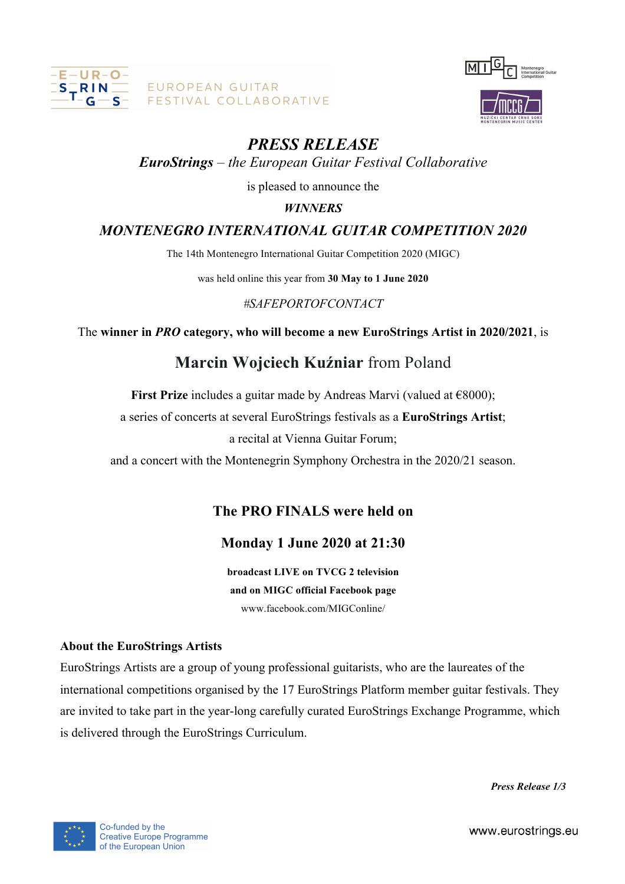

EUROPEAN GUITAR FESTIVAL COLLABORATIVE



# *PRESS RELEASE*

## *EuroStrings – the European Guitar Festival Collaborative*

is pleased to announce the

## *WINNERS*

## *MONTENEGRO INTERNATIONAL GUITAR COMPETITION 2020*

The 14th Montenegro International Guitar Competition 2020 (MIGC)

was held online this year from **30 May to 1 June 2020**

### *#SAFEPORTOFCONTACT*

The **winner in** *PRO* **category, who will become a new EuroStrings Artist in 2020/2021**, is

# **Marcin Wojciech Kuźniar** from Poland

**First Prize** includes a guitar made by Andreas Marvi (valued at €8000);

a series of concerts at several EuroStrings festivals as a **EuroStrings Artist**;

a recital at Vienna Guitar Forum;

and a concert with the Montenegrin Symphony Orchestra in the 2020/21 season.

## **The PRO FINALS were held on**

## **Monday 1 June 2020 at 21:30**

**broadcast LIVE on TVCG 2 television and on MIGC official Facebook page** www.facebook.com/MIGConline/

### **About the EuroStrings Artists**

EuroStrings Artists are a group of young professional guitarists, who are the laureates of the international competitions organised by the 17 EuroStrings Platform member guitar festivals. They are invited to take part in the year-long carefully curated EuroStrings Exchange Programme, which is delivered through the EuroStrings Curriculum.

*Press Release 1/3*



www.eurostrings.eu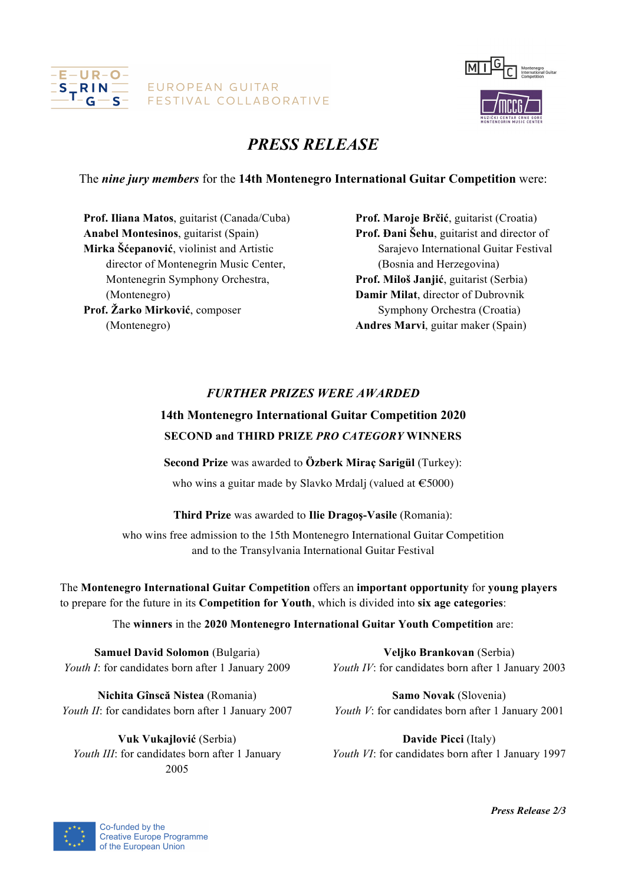



# *PRESS RELEASE*

The *nine jury members* for the **14th Montenegro International Guitar Competition** were:

**Prof. Iliana Matos**, guitarist (Canada/Cuba) **Anabel Montesinos**, guitarist (Spain) **Mirka Šćepanović**, violinist and Artistic director of Montenegrin Music Center, Montenegrin Symphony Orchestra, (Montenegro) **Prof. Žarko Mirković**, composer (Montenegro)

**Prof. Maroje Brčić**, guitarist (Croatia) **Prof. Đani Šehu**, guitarist and director of Sarajevo International Guitar Festival (Bosnia and Herzegovina) **Prof. Miloš Janjić**, guitarist (Serbia) **Damir Milat**, director of Dubrovnik Symphony Orchestra (Croatia) **Andres Marvi**, guitar maker (Spain)

### *FURTHER PRIZES WERE AWARDED*

## **14th Montenegro International Guitar Competition 2020 SECOND and THIRD PRIZE** *PRO CATEGORY* **WINNERS**

**Second Prize** was awarded to **Özberk Miraç Sarigül** (Turkey): who wins a guitar made by Slavko Mrdalj (valued at  $\epsilon$ 5000)

**Third Prize** was awarded to **Ilie Dragoş-Vasile** (Romania):

who wins free admission to the 15th Montenegro International Guitar Competition and to the Transylvania International Guitar Festival

The **Montenegro International Guitar Competition** offers an **important opportunity** for **young players** to prepare for the future in its **Competition for Youth**, which is divided into **six age categories**:

The **winners** in the **2020 Montenegro International Guitar Youth Competition** are:

**Samuel David Solomon** (Bulgaria) *Youth I*: for candidates born after 1 January 2009

**Nichita Gînscă Nistea** (Romania) *Youth II*: for candidates born after 1 January 2007

**Vuk Vukajlović** (Serbia) *Youth III*: for candidates born after 1 January 2005

**Veljko Brankovan** (Serbia) *Youth IV*: for candidates born after 1 January 2003

**Samo Novak** (Slovenia) *Youth V*: for candidates born after 1 January 2001

**Davide Picci** (Italy) *Youth VI*: for candidates born after 1 January 1997



*Press Release 2/3*